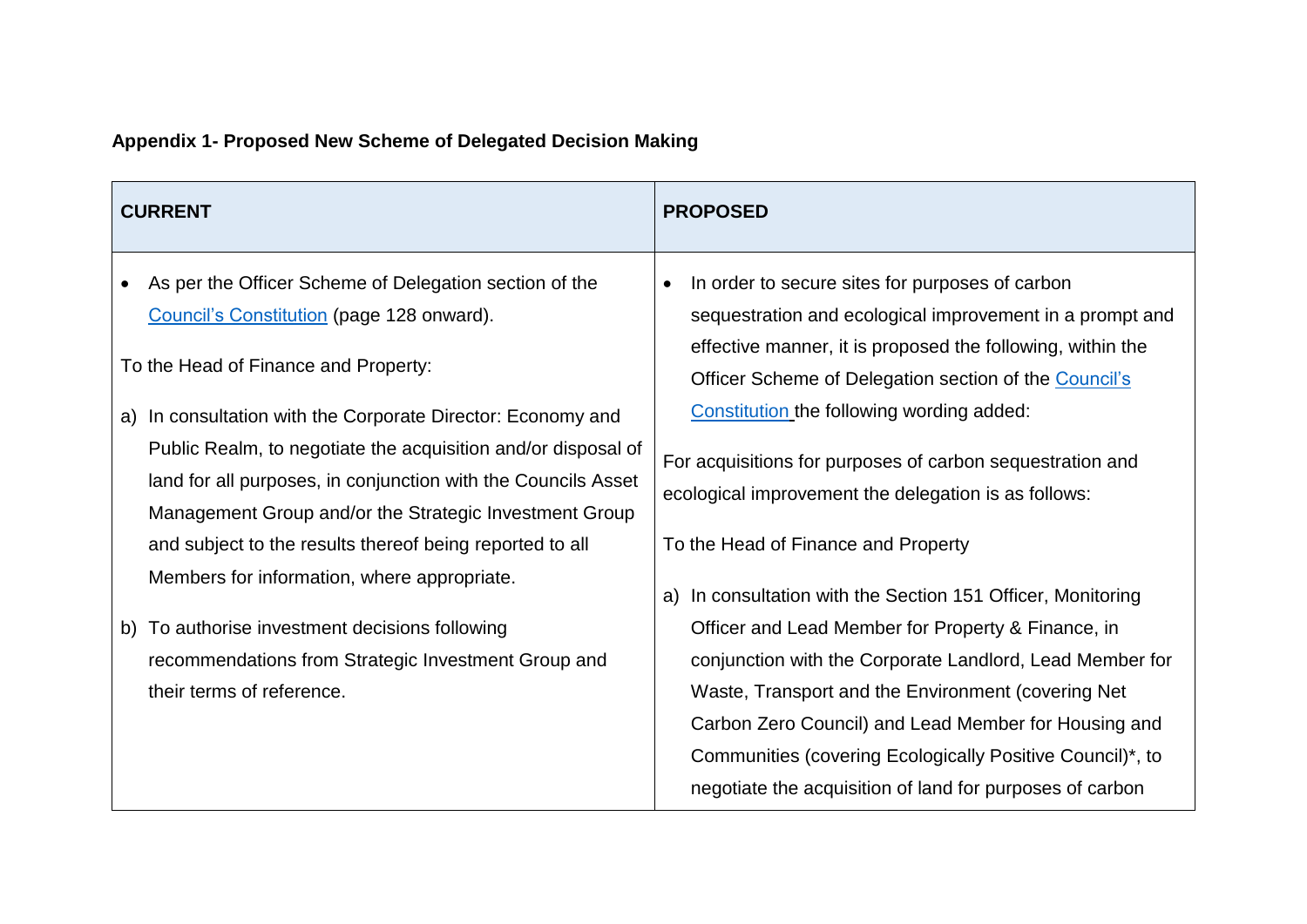| <b>CURRENT</b>                                                                                                                                                                                                                                                                                                                                                                                                                                                                                                       | <b>PROPOSED</b>                                                                                                                                                                                                                                                                                                                                                                                                                                          |
|----------------------------------------------------------------------------------------------------------------------------------------------------------------------------------------------------------------------------------------------------------------------------------------------------------------------------------------------------------------------------------------------------------------------------------------------------------------------------------------------------------------------|----------------------------------------------------------------------------------------------------------------------------------------------------------------------------------------------------------------------------------------------------------------------------------------------------------------------------------------------------------------------------------------------------------------------------------------------------------|
| As per the Officer Scheme of Delegation section of the<br>Council's Constitution (page 128 onward).<br>To the Head of Finance and Property:<br>In consultation with the Corporate Director: Economy and<br>a)<br>Public Realm, to negotiate the acquisition and/or disposal of<br>land for all purposes, in conjunction with the Councils Asset<br>Management Group and/or the Strategic Investment Group<br>and subject to the results thereof being reported to all<br>Members for information, where appropriate. | In order to secure sites for purposes of carbon<br>$\bullet$<br>sequestration and ecological improvement in a prompt and<br>effective manner, it is proposed the following, within the<br>Officer Scheme of Delegation section of the Council's<br>Constitution the following wording added:<br>For acquisitions for purposes of carbon sequestration and<br>ecological improvement the delegation is as follows:<br>To the Head of Finance and Property |
| b) To authorise investment decisions following<br>recommendations from Strategic Investment Group and<br>their terms of reference.                                                                                                                                                                                                                                                                                                                                                                                   | In consultation with the Section 151 Officer, Monitoring<br>a)<br>Officer and Lead Member for Property & Finance, in<br>conjunction with the Corporate Landlord, Lead Member for<br>Waste, Transport and the Environment (covering Net<br>Carbon Zero Council) and Lead Member for Housing and<br>Communities (covering Ecologically Positive Council)*, to<br>negotiate the acquisition of land for purposes of carbon                                  |

## **Appendix 1- Proposed New Scheme of Delegated Decision Making**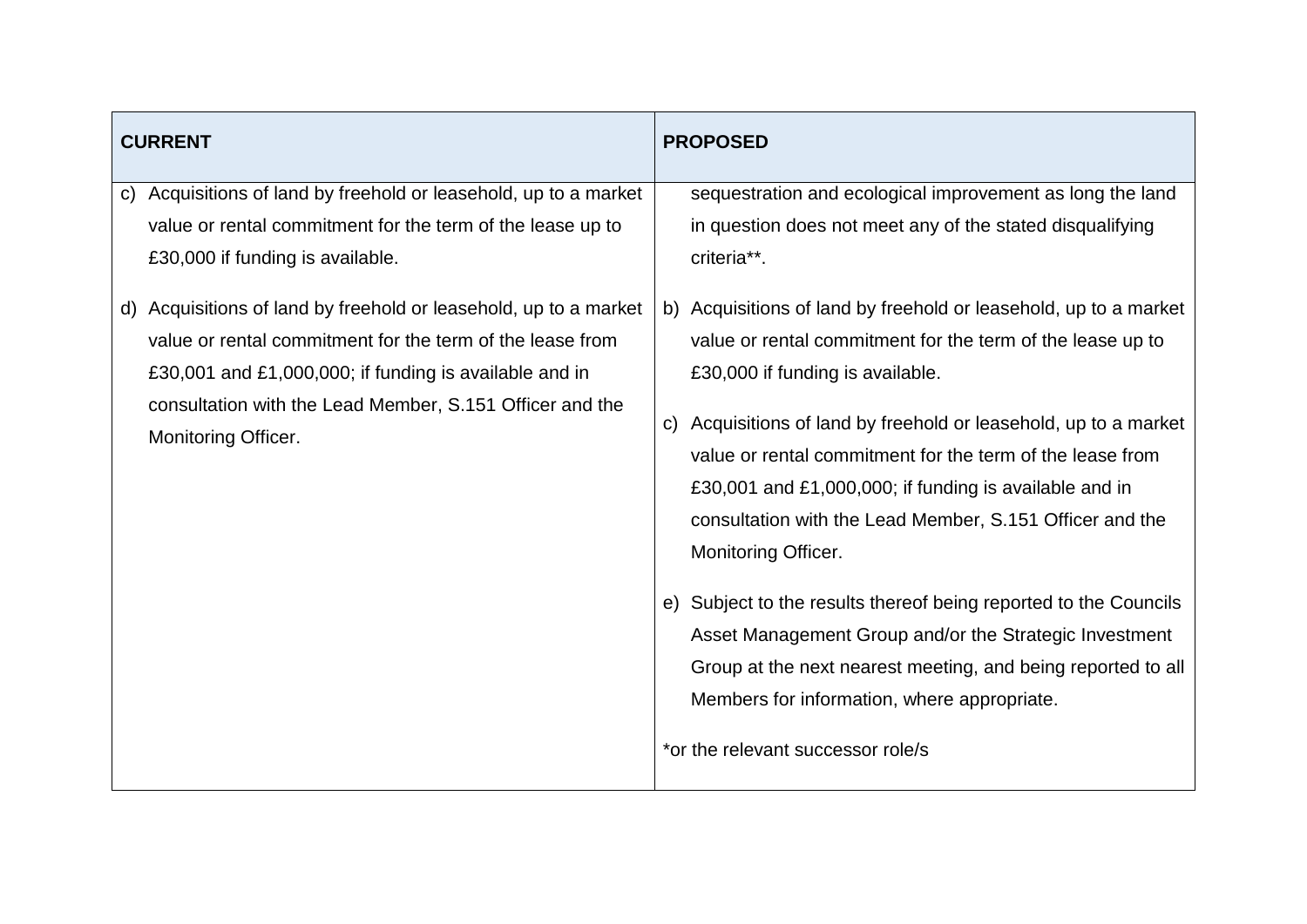| <b>CURRENT</b> |                                                                                                                                                                                                                                                                                                                                                                                                                                                         | <b>PROPOSED</b> |                                                                                                                                                                                                                                                                                                                                                                                                                                                                                                                                                                                                                                                                                                                                                                                                                                     |
|----------------|---------------------------------------------------------------------------------------------------------------------------------------------------------------------------------------------------------------------------------------------------------------------------------------------------------------------------------------------------------------------------------------------------------------------------------------------------------|-----------------|-------------------------------------------------------------------------------------------------------------------------------------------------------------------------------------------------------------------------------------------------------------------------------------------------------------------------------------------------------------------------------------------------------------------------------------------------------------------------------------------------------------------------------------------------------------------------------------------------------------------------------------------------------------------------------------------------------------------------------------------------------------------------------------------------------------------------------------|
|                | c) Acquisitions of land by freehold or leasehold, up to a market<br>value or rental commitment for the term of the lease up to<br>£30,000 if funding is available.<br>d) Acquisitions of land by freehold or leasehold, up to a market<br>value or rental commitment for the term of the lease from<br>£30,001 and £1,000,000; if funding is available and in<br>consultation with the Lead Member, S.151 Officer and the<br><b>Monitoring Officer.</b> | $\mathsf{C}$    | sequestration and ecological improvement as long the land<br>in question does not meet any of the stated disqualifying<br>criteria**.<br>b) Acquisitions of land by freehold or leasehold, up to a market<br>value or rental commitment for the term of the lease up to<br>£30,000 if funding is available.<br>Acquisitions of land by freehold or leasehold, up to a market<br>value or rental commitment for the term of the lease from<br>£30,001 and £1,000,000; if funding is available and in<br>consultation with the Lead Member, S.151 Officer and the<br>Monitoring Officer.<br>e) Subject to the results thereof being reported to the Councils<br>Asset Management Group and/or the Strategic Investment<br>Group at the next nearest meeting, and being reported to all<br>Members for information, where appropriate. |
|                |                                                                                                                                                                                                                                                                                                                                                                                                                                                         |                 | *or the relevant successor role/s                                                                                                                                                                                                                                                                                                                                                                                                                                                                                                                                                                                                                                                                                                                                                                                                   |